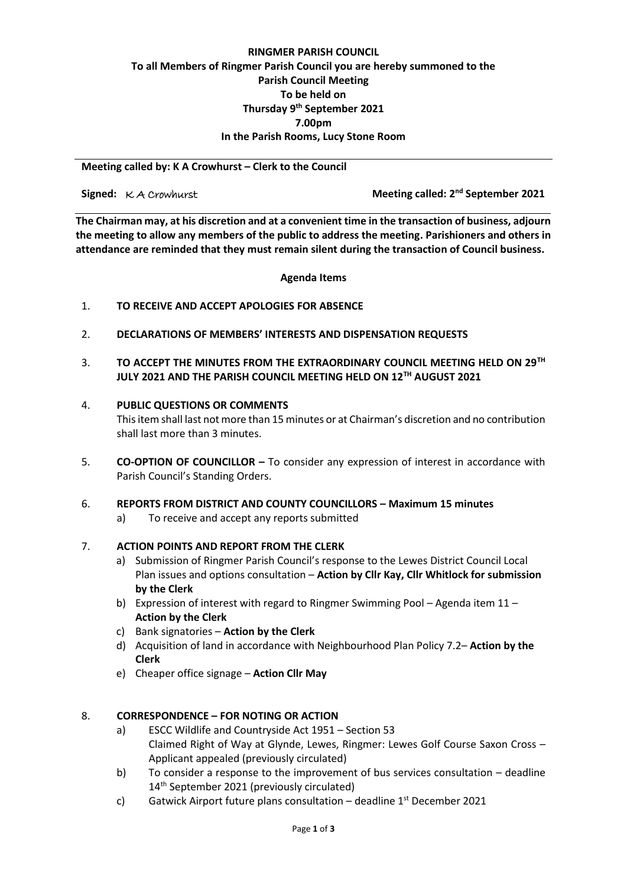#### **RINGMER PARISH COUNCIL To all Members of Ringmer Parish Council you are hereby summoned to the Parish Council Meeting To be held on Thursday 9 th September 2021 7.00pm In the Parish Rooms, Lucy Stone Room**

**Meeting called by: K A Crowhurst – Clerk to the Council** 

**Signed:**  $K$  *A Crowhurst* 

**Meeting called: 2<sup>nd</sup> September 2021** 

**The Chairman may, at his discretion and at a convenient time in the transaction of business, adjourn the meeting to allow any members of the public to address the meeting. Parishioners and others in attendance are reminded that they must remain silent during the transaction of Council business.**

**Agenda Items**

#### 1. **TO RECEIVE AND ACCEPT APOLOGIES FOR ABSENCE**

- 2. **DECLARATIONS OF MEMBERS' INTERESTS AND DISPENSATION REQUESTS**
- 3. **TO ACCEPT THE MINUTES FROM THE EXTRAORDINARY COUNCIL MEETING HELD ON 29TH JULY 2021 AND THE PARISH COUNCIL MEETING HELD ON 12TH AUGUST 2021**

#### 4. **PUBLIC QUESTIONS OR COMMENTS**

This item shall last not more than 15 minutes or at Chairman's discretion and no contribution shall last more than 3 minutes.

5. **CO-OPTION OF COUNCILLOR –** To consider any expression of interest in accordance with Parish Council's Standing Orders.

#### 6. **REPORTS FROM DISTRICT AND COUNTY COUNCILLORS – Maximum 15 minutes**

a) To receive and accept any reports submitted

#### 7. **ACTION POINTS AND REPORT FROM THE CLERK**

- a) Submission of Ringmer Parish Council's response to the Lewes District Council Local Plan issues and options consultation – **Action by Cllr Kay, Cllr Whitlock for submission by the Clerk**
- b) Expression of interest with regard to Ringmer Swimming Pool Agenda item 11 **Action by the Clerk**
- c) Bank signatories **Action by the Clerk**
- d) Acquisition of land in accordance with Neighbourhood Plan Policy 7.2– **Action by the Clerk**
- e) Cheaper office signage **Action Cllr May**

#### 8. **CORRESPONDENCE – FOR NOTING OR ACTION**

- a) ESCC Wildlife and Countryside Act 1951 – Section 53 Claimed Right of Way at Glynde, Lewes, Ringmer: Lewes Golf Course Saxon Cross – Applicant appealed (previously circulated)
- b) To consider a response to the improvement of bus services consultation – deadline 14<sup>th</sup> September 2021 (previously circulated)
- c) Gatwick Airport future plans consultation - deadline 1st December 2021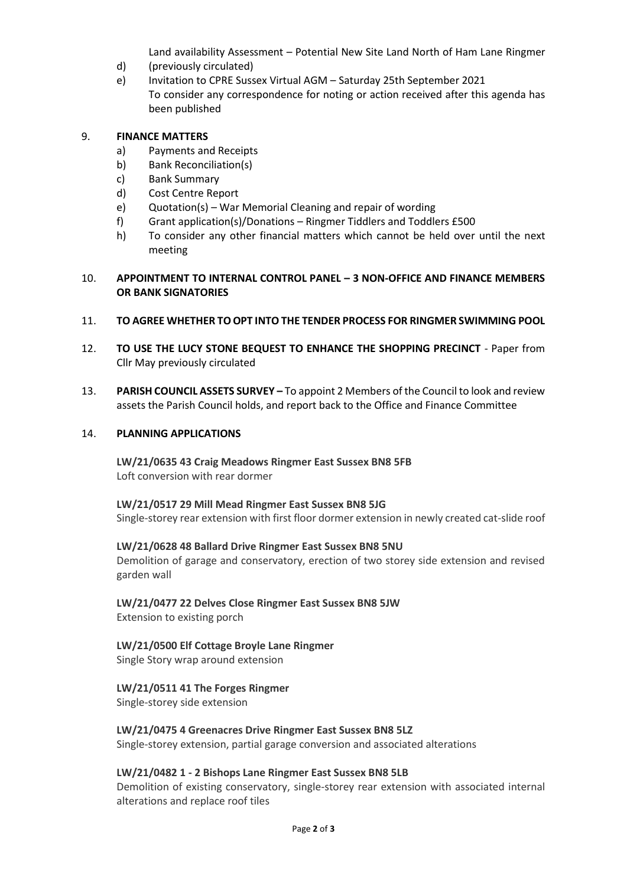Land availability Assessment – Potential New Site Land North of Ham Lane Ringmer

- d) (previously circulated)
- e) Invitation to CPRE Sussex Virtual AGM – Saturday 25th September 2021 To consider any correspondence for noting or action received after this agenda has been published

#### 9. **FINANCE MATTERS**

- a) Payments and Receipts
- b) Bank Reconciliation(s)
- c) Bank Summary
- d) Cost Centre Report
- e) Quotation(s) War Memorial Cleaning and repair of wording
- f) Grant application(s)/Donations Ringmer Tiddlers and Toddlers £500
- h) To consider any other financial matters which cannot be held over until the next meeting

#### 10. **APPOINTMENT TO INTERNAL CONTROL PANEL – 3 NON-OFFICE AND FINANCE MEMBERS OR BANK SIGNATORIES**

#### 11. **TO AGREE WHETHER TO OPT INTO THE TENDER PROCESS FOR RINGMER SWIMMING POOL**

- 12. **TO USE THE LUCY STONE BEQUEST TO ENHANCE THE SHOPPING PRECINCT** Paper from Cllr May previously circulated
- 13. **PARISH COUNCIL ASSETS SURVEY –** To appoint 2 Members of the Council to look and review assets the Parish Council holds, and report back to the Office and Finance Committee

#### 14. **PLANNING APPLICATIONS**

**LW/21/0635 43 Craig Meadows Ringmer East Sussex BN8 5FB** Loft conversion with rear dormer

# **LW/21/0517 29 Mill Mead Ringmer East Sussex BN8 5JG**

Single-storey rear extension with first floor dormer extension in newly created cat-slide roof

#### **LW/21/0628 48 Ballard Drive Ringmer East Sussex BN8 5NU**

Demolition of garage and conservatory, erection of two storey side extension and revised garden wall

### **LW/21/0477 22 Delves Close Ringmer East Sussex BN8 5JW**

Extension to existing porch

## **LW/21/0500 Elf Cottage Broyle Lane Ringmer**

Single Story wrap around extension

#### **LW/21/0511 41 The Forges Ringmer**

Single-storey side extension

#### **LW/21/0475 4 Greenacres Drive Ringmer East Sussex BN8 5LZ**

Single-storey extension, partial garage conversion and associated alterations

#### **LW/21/0482 1 - 2 Bishops Lane Ringmer East Sussex BN8 5LB**

Demolition of existing conservatory, single-storey rear extension with associated internal alterations and replace roof tiles